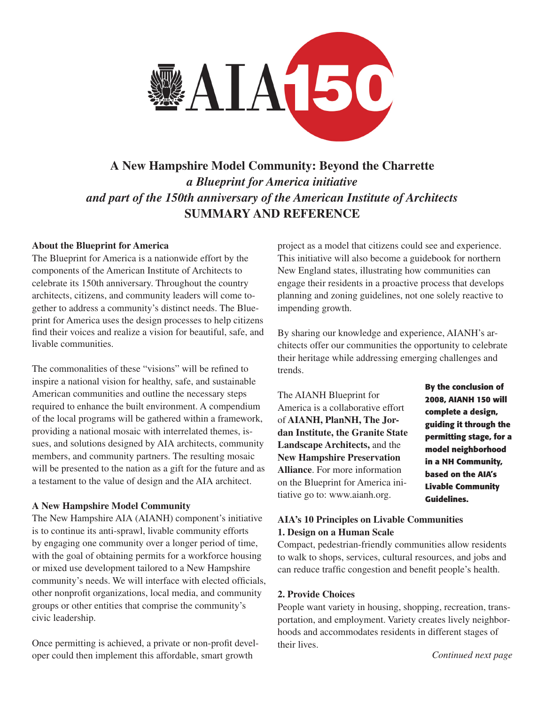

# **A New Hampshire Model Community: Beyond the Charrette** *a Blueprint for America initiative and part of the 150th anniversary of the American Institute of Architects* **SUMMARY AND REFERENCE**

#### **About the Blueprint for America**

The Blueprint for America is a nationwide effort by the components of the American Institute of Architects to celebrate its 150th anniversary. Throughout the country architects, citizens, and community leaders will come together to address a community's distinct needs. The Blueprint for America uses the design processes to help citizens find their voices and realize a vision for beautiful, safe, and livable communities.

The commonalities of these "visions" will be refined to inspire a national vision for healthy, safe, and sustainable American communities and outline the necessary steps required to enhance the built environment. A compendium of the local programs will be gathered within a framework, providing a national mosaic with interrelated themes, issues, and solutions designed by AIA architects, community members, and community partners. The resulting mosaic will be presented to the nation as a gift for the future and as a testament to the value of design and the AIA architect.

#### **A New Hampshire Model Community**

The New Hampshire AIA (AIANH) component's initiative is to continue its anti-sprawl, livable community efforts by engaging one community over a longer period of time, with the goal of obtaining permits for a workforce housing or mixed use development tailored to a New Hampshire community's needs. We will interface with elected officials, other nonprofit organizations, local media, and community groups or other entities that comprise the community's civic leadership.

Once permitting is achieved, a private or non-profit developer could then implement this affordable, smart growth

project as a model that citizens could see and experience. This initiative will also become a guidebook for northern New England states, illustrating how communities can engage their residents in a proactive process that develops planning and zoning guidelines, not one solely reactive to impending growth.

By sharing our knowledge and experience, AIANH's architects offer our communities the opportunity to celebrate their heritage while addressing emerging challenges and trends.

The AIANH Blueprint for America is a collaborative effort of **AIANH, PlanNH, The Jordan Institute, the Granite State Landscape Architects,** and the **New Hampshire Preservation Alliance**. For more information on the Blueprint for America initiative go to: www.aianh.org.

**By the conclusion of 2008, AIANH 150 will complete a design, guiding it through the permitting stage, for a model neighborhood in a NH Community, based on the AIA's Livable Community Guidelines.** 

### **AIA's 10 Principles on Livable Communities 1. Design on a Human Scale**

Compact, pedestrian-friendly communities allow residents to walk to shops, services, cultural resources, and jobs and can reduce traffic congestion and benefit people's health.

### **2. Provide Choices**

People want variety in housing, shopping, recreation, transportation, and employment. Variety creates lively neighborhoods and accommodates residents in different stages of their lives.